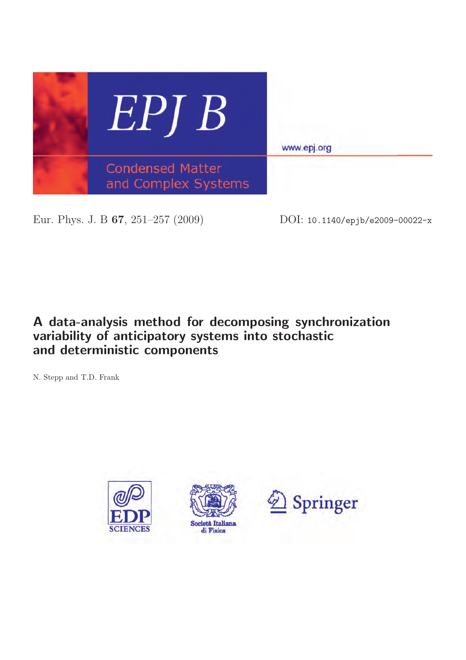

Eur. Phys. J. B **67**, 251–257 (2009) DOI: 10.1140/epjb/e2009-00022-x

# **A data-analysis method for decomposing synchronization variability of anticipatory systems into stochastic and deterministic components**

N. Stepp and T.D. Frank

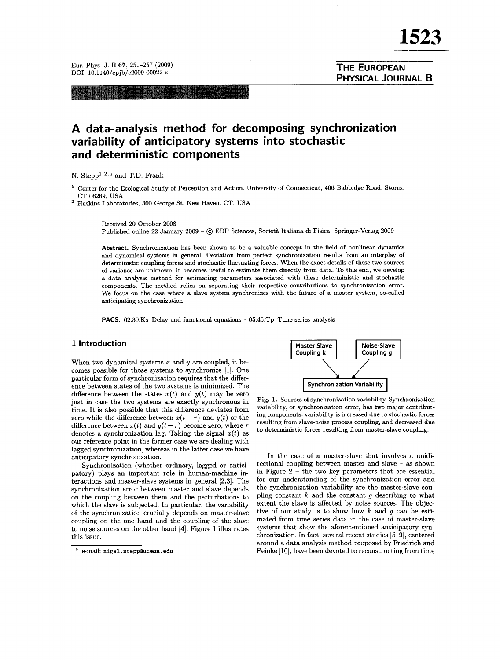**THE EUROPEAN** 

PHYSICAL JOURNAL B

Eur. Phys. J. B 67, 251-257 (2009) DOI: 10.1140/epjb/e2009-00022-x

Readin Argan

# A data-analysis method for decomposing synchronization variability of anticipatory systems into stochastic and deterministic components

N. Stepp<sup>1,2,a</sup> and T.D. Frank<sup>1</sup>

Center for the Ecological Study of Perception and Action, University of Connecticut, 406 Babbidge Road, Storrs, CT 06269, USA

<sup>2</sup> Haskins Laboratories, 300 George St, New Haven, CT, USA

Received 20 October 2008

Published online 22 January 2009 - ⓒ EDP Sciences, Società Italiana di Fisica, Springer-Verlag 2009

Abstract. Synchronization has been shown to be a valuable concept in the field of nonlinear dynamics and dynamical systems in general. Deviation from perfect synchronization results from an interplay of deterministic coupling forces and stochastic fluctuating forces. When the exact details of these two sources of variance are unknown, it becomes useful to estimate them directly from data. To this end, we develop a data analysis method for estimating parameters associated with these deterministic and stochastic components. The method relies on separating their respective contributions to synchronization error. We focus on the case where a slave system synchronizes with the future of a master system, so-called anticipating synchronization.

**PACS.** 02.30.Ks Delay and functional equations - 05.45.Tp Time series analysis

#### 1 Introduction

When two dynamical systems  $x$  and  $y$  are coupled, it becomes possible for those systems to synchronize [1]. One particular form of synchronization requires that the difference between states of the two systems is minimized. The difference between the states  $x(t)$  and  $y(t)$  may be zero just in case the two systems are exactly synchronous in time. It is also possible that this difference deviates from zero while the difference between  $x(t - \tau)$  and  $y(t)$  or the difference between  $x(t)$  and  $y(t-\tau)$  become zero, where  $\tau$ denotes a synchronization lag. Taking the signal  $x(t)$  as our reference point in the former case we are dealing with lagged synchronization, whereas in the latter case we have anticipatory synchronization.

Synchronization (whether ordinary, lagged or anticipatory) plays an important role in human-machine interactions and master-slave systems in general  $[2,3]$ . The synchronization error between master and slave depends on the coupling between them and the perturbations to which the slave is subjected. In particular, the variability of the synchronization crucially depends on master-slave coupling on the one hand and the coupling of the slave to noise sources on the other hand [4]. Figure 1 illustrates this issue.



Fig. 1. Sources of synchronization variability. Synchronization variability, or synchronization error, has two major contributing components: variability is increased due to stochastic forces resulting from slave-noise process coupling, and decreased due to deterministic forces resulting from master-slave coupling.

In the case of a master-slave that involves a unidirectional coupling between master and slave - as shown in Figure  $2$  – the two key parameters that are essential for our understanding of the synchronization error and the synchronization variability are the master-slave coupling constant  $k$  and the constant  $g$  describing to what extent the slave is affected by noise sources. The objective of our study is to show how  $k$  and  $q$  can be estimated from time series data in the case of master-slave systems that show the aforementioned anticipatory synchronization. In fact, several recent studies [5-9], centered around a data analysis method proposed by Friedrich and Peinke [10], have been devoted to reconstructing from time

<sup>&</sup>lt;sup>a</sup> e-mail: nigel.stepp@uconn.edu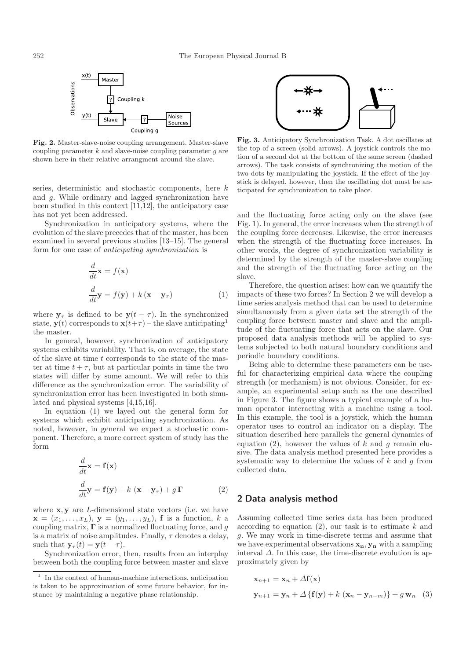

**Fig. 2.** Master-slave-noise coupling arrangement. Master-slave coupling parameter  $k$  and slave-noise coupling parameter  $g$  are shown here in their relative arrangment around the slave.

series, deterministic and stochastic components, here k and g. While ordinary and lagged synchronization have been studied in this context [11,12], the anticipatory case has not yet been addressed.

Synchronization in anticipatory systems, where the evolution of the slave precedes that of the master, has been examined in several previous studies [13–15]. The general form for one case of *anticipating synchronization* is

$$
\frac{d}{dt}\mathbf{x} = f(\mathbf{x})
$$

$$
\frac{d}{dt}\mathbf{y} = f(\mathbf{y}) + k(\mathbf{x} - \mathbf{y}_{\tau})
$$
(1)

where  $y_\tau$  is defined to be  $y(t - \tau)$ . In the synchronized state,  $\mathbf{y}(t)$  corresponds to  $\mathbf{x}(t+\tau)$  – the slave anticipating<sup>1</sup> the master.

In general, however, synchronization of anticipatory systems exhibits variability. That is, on average, the state of the slave at time t corresponds to the state of the master at time  $t + \tau$ , but at particular points in time the two states will differ by some amount. We will refer to this difference as the synchronization error. The variability of synchronization error has been investigated in both simulated and physical systems [4,15,16].

In equation (1) we layed out the general form for systems which exhibit anticipating synchronization. As noted, however, in general we expect a stochastic component. Therefore, a more correct system of study has the form

$$
\frac{d}{dt}\mathbf{x} = \mathbf{f}(\mathbf{x})
$$

$$
\frac{d}{dt}\mathbf{y} = \mathbf{f}(\mathbf{y}) + k(\mathbf{x} - \mathbf{y}_{\tau}) + g\,\mathbf{\Gamma}
$$
(2)

where **x**, **y** are *L*-dimensional state vectors (i.e. we have  $\mathbf{x} = (x_1, \ldots, x_L), \mathbf{y} = (y_1, \ldots, y_L), \mathbf{f}$  is a function, k a coupling matrix,  $\Gamma$  is a normalized fluctuating force, and q is a matrix of noise amplitudes. Finally,  $\tau$  denotes a delay, such that  $\mathbf{y}_{\tau}(t) = \mathbf{y}(t - \tau)$ .

Synchronization error, then, results from an interplay between both the coupling force between master and slave



**Fig. 3.** Anticipatory Synchronization Task. A dot oscillates at the top of a screen (solid arrows). A joystick controls the motion of a second dot at the bottom of the same screen (dashed arrows). The task consists of synchronizing the motion of the two dots by manipulating the joystick. If the effect of the joystick is delayed, however, then the oscillating dot must be anticipated for synchronization to take place.

and the fluctuating force acting only on the slave (see Fig. 1). In general, the error increases when the strength of the coupling force decreases. Likewise, the error increases when the strength of the fluctuating force increases. In other words, the degree of synchronization variability is determined by the strength of the master-slave coupling and the strength of the fluctuating force acting on the slave.

Therefore, the question arises: how can we quantify the impacts of these two forces? In Section 2 we will develop a time series analysis method that can be used to determine simultaneously from a given data set the strength of the coupling force between master and slave and the amplitude of the fluctuating force that acts on the slave. Our proposed data analysis methods will be applied to systems subjected to both natural boundary conditions and periodic boundary conditions.

Being able to determine these parameters can be useful for characterizing empirical data where the coupling strength (or mechanism) is not obvious. Consider, for example, an experimental setup such as the one described in Figure 3. The figure shows a typical example of a human operator interacting with a machine using a tool. In this example, the tool is a joystick, which the human operator uses to control an indicator on a display. The situation described here parallels the general dynamics of equation (2), however the values of k and g remain elusive. The data analysis method presented here provides a systematic way to determine the values of  $k$  and  $q$  from collected data.

## **2 Data analysis method**

Assuming collected time series data has been produced according to equation  $(2)$ , our task is to estimate k and g. We may work in time-discrete terms and assume that we have experimental observations **xn**, **y<sup>n</sup>** with a sampling interval  $\Delta$ . In this case, the time-discrete evolution is approximately given by

$$
\mathbf{x}_{n+1} = \mathbf{x}_n + \Delta \mathbf{f}(\mathbf{x})
$$
  

$$
\mathbf{y}_{n+1} = \mathbf{y}_n + \Delta \{ \mathbf{f}(\mathbf{y}) + k (\mathbf{x}_n - \mathbf{y}_{n-m}) \} + g \mathbf{w}_n
$$
 (3)

<sup>1</sup> In the context of human-machine interactions, anticipation is taken to be approximation of some future behavior, for instance by maintaining a negative phase relationship.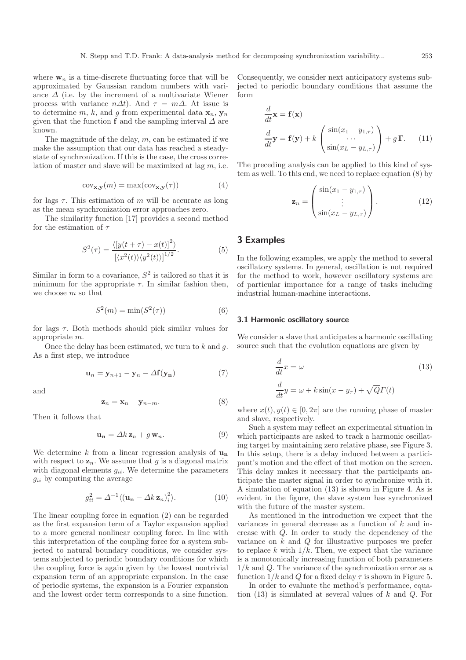where  $\mathbf{w}_n$  is a time-discrete fluctuating force that will be approximated by Gaussian random numbers with variance  $\Delta$  (i.e. by the increment of a multivariate Wiener process with variance  $n\Delta t$ ). And  $\tau = m\Delta$ . At issue is to determine m, k, and g from experimental data  $\mathbf{x}_n$ ,  $\mathbf{y}_n$ given that the function **f** and the sampling interval  $\Delta$  are known.

The magnitude of the delay,  $m$ , can be estimated if we make the assumption that our data has reached a steadystate of synchronization. If this is the case, the cross correlation of master and slave will be maximized at lag  $m$ , i.e.

$$
cov_{\mathbf{x},\mathbf{y}}(m) = \max(cov_{\mathbf{x},\mathbf{y}}(\tau))
$$
(4)

for lags  $\tau$ . This estimation of m will be accurate as long as the mean synchronization error approaches zero.

The similarity function [17] provides a second method for the estimation of  $\tau$ 

$$
S^{2}(\tau) = \frac{\langle [y(t+\tau) - x(t)]^{2} \rangle}{[\langle x^{2}(t) \rangle \langle y^{2}(t) \rangle]^{1/2}}.
$$
 (5)

Similar in form to a covariance,  $S^2$  is tailored so that it is minimum for the appropriate  $\tau$ . In similar fashion then, we choose  $m$  so that

$$
S^2(m) = \min(S^2(\tau))\tag{6}
$$

for lags  $\tau$ . Both methods should pick similar values for appropriate m.

Once the delay has been estimated, we turn to  $k$  and  $g$ . As a first step, we introduce

$$
\mathbf{u}_n = \mathbf{y}_{n+1} - \mathbf{y}_n - \Delta \mathbf{f}(\mathbf{y}_n) \tag{7}
$$

and

$$
\mathbf{z}_n = \mathbf{x}_n - \mathbf{y}_{n-m}.\tag{8}
$$

Then it follows that

$$
\mathbf{u_n} = \Delta k \, \mathbf{z}_n + g \, \mathbf{w}_n. \tag{9}
$$

We determine k from a linear regression analysis of  $\mathbf{u}_n$ with respect to  $z_n$ . We assume that g is a diagonal matrix with diagonal elements  $g_{ii}$ . We determine the parameters  $g_{ii}$  by computing the average

$$
g_{ii}^2 = \Delta^{-1} \langle (\mathbf{u_n} - \Delta k \, \mathbf{z}_n)_i^2 \rangle.
$$
 (10)

The linear coupling force in equation (2) can be regarded as the first expansion term of a Taylor expansion applied to a more general nonlinear coupling force. In line with this interpretation of the coupling force for a system subjected to natural boundary conditions, we consider systems subjected to periodic boundary conditions for which the coupling force is again given by the lowest nontrivial expansion term of an appropriate expansion. In the case of periodic systems, the expansion is a Fourier expansion and the lowest order term corresponds to a sine function.

Consequently, we consider next anticipatory systems subjected to periodic boundary conditions that assume the form

$$
\frac{d}{dt}\mathbf{x} = \mathbf{f}(\mathbf{x})
$$
\n
$$
\frac{d}{dt}\mathbf{y} = \mathbf{f}(\mathbf{y}) + k \begin{pmatrix} \sin(x_1 - y_{1,\tau}) \\ \cdots \\ \sin(x_L - y_{L,\tau}) \end{pmatrix} + g \mathbf{\Gamma}.
$$
\n(11)

The preceding analysis can be applied to this kind of system as well. To this end, we need to replace equation (8) by

$$
\mathbf{z}_n = \begin{pmatrix} \sin(x_1 - y_{1,\tau}) \\ \vdots \\ \sin(x_L - y_{L,\tau}) \end{pmatrix} . \tag{12}
$$

## **3 Examples**

In the following examples, we apply the method to several oscillatory systems. In general, oscillation is not required for the method to work, however oscillatory systems are of particular importance for a range of tasks including industrial human-machine interactions.

#### **3.1 Harmonic oscillatory source**

We consider a slave that anticipates a harmonic oscillating source such that the evolution equations are given by

$$
\frac{d}{dt}x = \omega
$$
\n
$$
\frac{d}{dt}y = \omega + k\sin(x - y_{\tau}) + \sqrt{Q}\Gamma(t)
$$
\n(13)

where  $x(t), y(t) \in [0, 2\pi]$  are the running phase of master and slave, respectively.

Such a system may reflect an experimental situation in which participants are asked to track a harmonic oscillating target by maintaining zero relative phase, see Figure 3. In this setup, there is a delay induced between a participant's motion and the effect of that motion on the screen. This delay makes it necessary that the participants anticipate the master signal in order to synchronize with it. A simulation of equation (13) is shown in Figure 4. As is evident in the figure, the slave system has synchronized with the future of the master system.

As mentioned in the introduction we expect that the variances in general decrease as a function of  $k$  and increase with Q. In order to study the dependency of the variance on  $k$  and  $Q$  for illustrative purposes we prefer to replace k with  $1/k$ . Then, we expect that the variance is a monotonically increasing function of both parameters  $1/k$  and Q. The variance of the synchronization error as a function  $1/k$  and Q for a fixed delay  $\tau$  is shown in Figure 5.

In order to evaluate the method's performance, equation  $(13)$  is simulated at several values of k and Q. For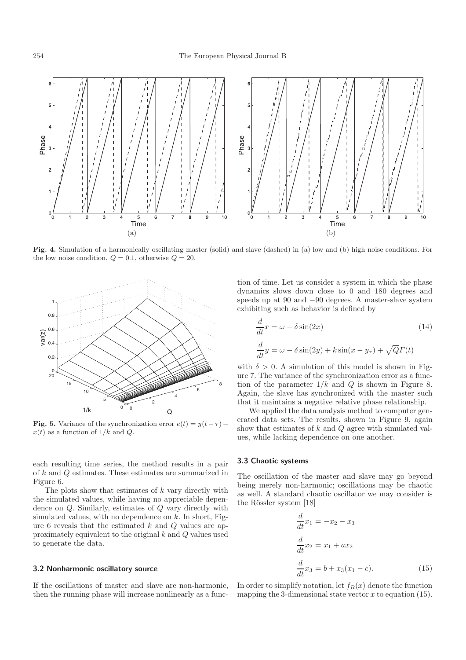

**Fig. 4.** Simulation of a harmonically oscillating master (solid) and slave (dashed) in (a) low and (b) high noise conditions. For the low noise condition,  $Q = 0.1$ , otherwise  $Q = 20$ .



**Fig. 5.** Variance of the synchronization error  $e(t) = y(t-\tau)$  –  $x(t)$  as a function of  $1/k$  and Q.

each resulting time series, the method results in a pair of k and Q estimates. These estimates are summarized in Figure 6.

The plots show that estimates of  $k$  vary directly with the simulated values, while having no appreciable dependence on Q. Similarly, estimates of Q vary directly with simulated values, with no dependence on  $k$ . In short, Figure 6 reveals that the estimated  $k$  and  $Q$  values are approximately equivalent to the original k and Q values used to generate the data.

#### **3.2 Nonharmonic oscillatory source**

If the oscillations of master and slave are non-harmonic, then the running phase will increase nonlinearly as a function of time. Let us consider a system in which the phase dynamics slows down close to 0 and 180 degrees and speeds up at 90 and −90 degrees. A master-slave system exhibiting such as behavior is defined by

$$
\frac{d}{dt}x = \omega - \delta \sin(2x)
$$
\n
$$
\frac{d}{dt}y = \omega - \delta \sin(2y) + k \sin(x - y_{\tau}) + \sqrt{Q}\Gamma(t)
$$
\n(14)

with  $\delta > 0$ . A simulation of this model is shown in Figure 7. The variance of the synchronization error as a function of the parameter  $1/k$  and Q is shown in Figure 8. Again, the slave has synchronized with the master such that it maintains a negative relative phase relationship.

We applied the data analysis method to computer generated data sets. The results, shown in Figure 9, again show that estimates of  $k$  and  $Q$  agree with simulated values, while lacking dependence on one another.

#### **3.3 Chaotic systems**

The oscillation of the master and slave may go beyond being merely non-harmonic; oscillations may be chaotic as well. A standard chaotic oscillator we may consider is the Rössler system [18]

$$
\frac{d}{dt}x_1 = -x_2 - x_3
$$
  
\n
$$
\frac{d}{dt}x_2 = x_1 + ax_2
$$
  
\n
$$
\frac{d}{dt}x_3 = b + x_3(x_1 - c).
$$
\n(15)

In order to simplify notation, let  $f_R(x)$  denote the function mapping the 3-dimensional state vector  $x$  to equation (15).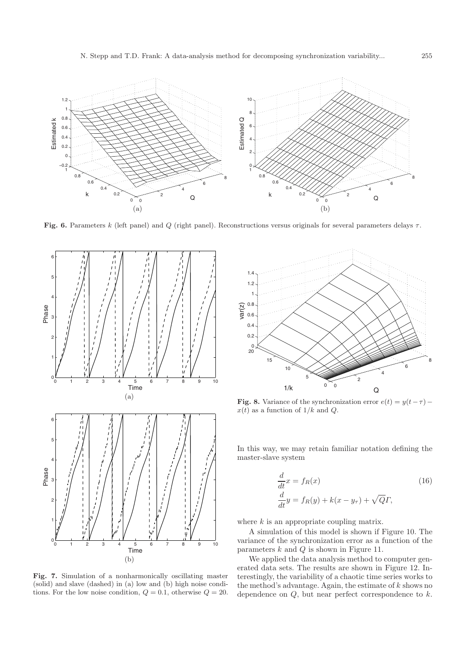

**Fig. 6.** Parameters k (left panel) and Q (right panel). Reconstructions versus originals for several parameters delays τ.



**Fig. 7.** Simulation of a nonharmonically oscillating master (solid) and slave (dashed) in (a) low and (b) high noise conditions. For the low noise condition,  $Q = 0.1$ , otherwise  $Q = 20$ .



**Fig. 8.** Variance of the synchronization error  $e(t) = y(t-\tau)$  –  $x(t)$  as a function of  $1/k$  and  $Q$ .

In this way, we may retain familiar notation defining the master-slave system

$$
\frac{d}{dt}x = f_R(x) \tag{16}
$$
\n
$$
\frac{d}{dt}y = f_R(y) + k(x - y_\tau) + \sqrt{Q}\Gamma,
$$

where  $k$  is an appropriate coupling matrix.

A simulation of this model is shown if Figure 10. The variance of the synchronization error as a function of the parameters  $k$  and  $Q$  is shown in Figure 11.

We applied the data analysis method to computer generated data sets. The results are shown in Figure 12. Interestingly, the variability of a chaotic time series works to the method's advantage. Again, the estimate of  $\boldsymbol{k}$  shows no dependence on  $Q$ , but near perfect correspondence to  $k$ .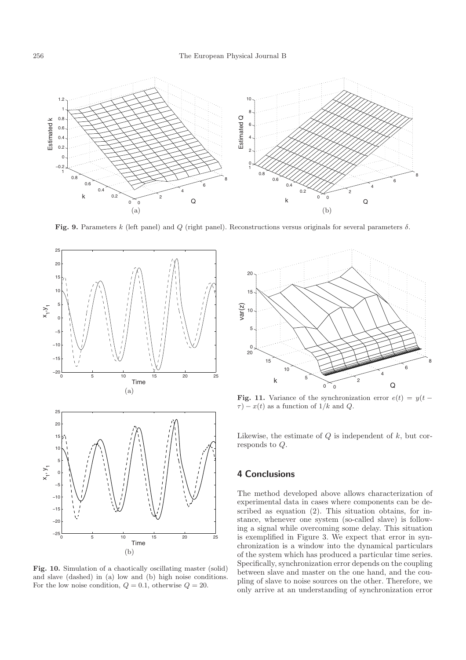

**Fig. 9.** Parameters k (left panel) and Q (right panel). Reconstructions versus originals for several parameters  $\delta$ .



**Fig. 10.** Simulation of a chaotically oscillating master (solid) and slave (dashed) in (a) low and (b) high noise conditions. For the low noise condition,  $Q = 0.1$ , otherwise  $Q = 20$ .



**Fig. 11.** Variance of the synchronization error  $e(t) = y(t \tau$ ) –  $x(t)$  as a function of 1/k and Q.

Likewise, the estimate of  $Q$  is independent of  $k$ , but corresponds to Q.

# **4 Conclusions**

The method developed above allows characterization of experimental data in cases where components can be described as equation (2). This situation obtains, for instance, whenever one system (so-called slave) is following a signal while overcoming some delay. This situation is exemplified in Figure 3. We expect that error in synchronization is a window into the dynamical particulars of the system which has produced a particular time series. Specifically, synchronization error depends on the coupling between slave and master on the one hand, and the coupling of slave to noise sources on the other. Therefore, we only arrive at an understanding of synchronization error